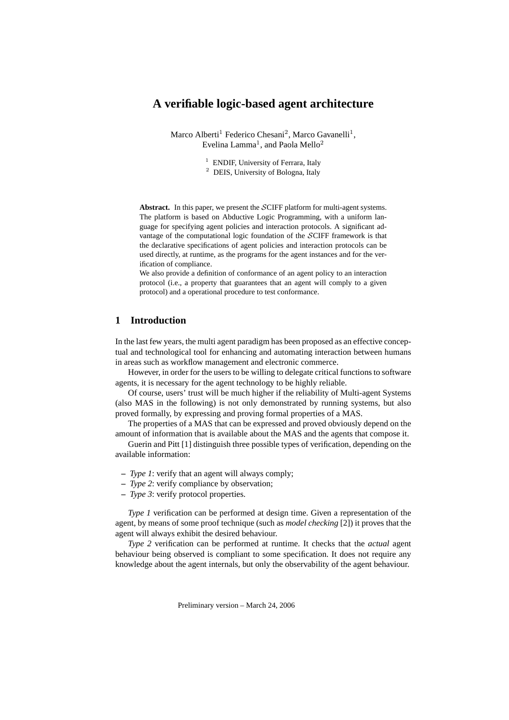# **A verifiable logic-based agent architecture**

Marco Alberti<sup>1</sup> Federico Chesani<sup>2</sup>, Marco Gavanelli<sup>1</sup>, Evelina Lamma<sup>1</sup>, and Paola Mello<sup>2</sup>

- <sup>1</sup> ENDIF, University of Ferrara, Italy
- <sup>2</sup> DEIS, University of Bologna, Italy

Abstract. In this paper, we present the SCIFF platform for multi-agent systems. The platform is based on Abductive Logic Programming, with a uniform language for specifying agent policies and interaction protocols. A significant advantage of the computational logic foundation of the SCIFF framework is that the declarative specifications of agent policies and interaction protocols can be used directly, at runtime, as the programs for the agent instances and for the verification of compliance.

We also provide a definition of conformance of an agent policy to an interaction protocol (i.e., a property that guarantees that an agent will comply to a given protocol) and a operational procedure to test conformance.

## **1 Introduction**

In the last few years, the multi agent paradigm has been proposed as an effective conceptual and technological tool for enhancing and automating interaction between humans in areas such as workflow management and electronic commerce.

However, in order for the users to be willing to delegate critical functions to software agents, it is necessary for the agent technology to be highly reliable.

Of course, users' trust will be much higher if the reliability of Multi-agent Systems (also MAS in the following) is not only demonstrated by running systems, but also proved formally, by expressing and proving formal properties of a MAS.

The properties of a MAS that can be expressed and proved obviously depend on the amount of information that is available about the MAS and the agents that compose it.

Guerin and Pitt [1] distinguish three possible types of verification, depending on the available information:

- **–** *Type 1*: verify that an agent will always comply;
- **–** *Type 2*: verify compliance by observation;
- **–** *Type 3*: verify protocol properties.

*Type 1* verification can be performed at design time. Given a representation of the agent, by means of some proof technique (such as *model checking* [2]) it proves that the agent will always exhibit the desired behaviour.

*Type 2* verification can be performed at runtime. It checks that the *actual* agent behaviour being observed is compliant to some specification. It does not require any knowledge about the agent internals, but only the observability of the agent behaviour.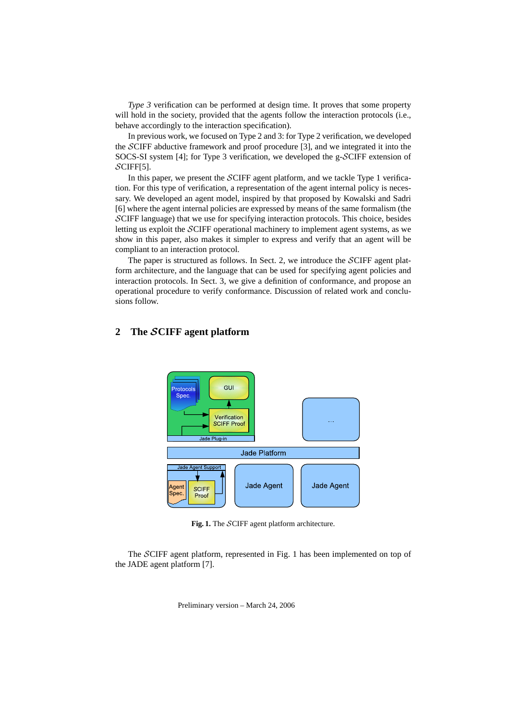*Type 3* verification can be performed at design time. It proves that some property will hold in the society, provided that the agents follow the interaction protocols (i.e., behave accordingly to the interaction specification).

In previous work, we focused on Type 2 and 3: for Type 2 verification, we developed the SCIFF abductive framework and proof procedure [3], and we integrated it into the SOCS-SI system [4]; for Type 3 verification, we developed the g-SCIFF extension of  $\mathcal{S}$ CIFF[5].

In this paper, we present the SCIFF agent platform, and we tackle Type 1 verification. For this type of verification, a representation of the agent internal policy is necessary. We developed an agent model, inspired by that proposed by Kowalski and Sadri [6] where the agent internal policies are expressed by means of the same formalism (the SCIFF language) that we use for specifying interaction protocols. This choice, besides letting us exploit the SCIFF operational machinery to implement agent systems, as we show in this paper, also makes it simpler to express and verify that an agent will be compliant to an interaction protocol.

The paper is structured as follows. In Sect. 2, we introduce the SCIFF agent platform architecture, and the language that can be used for specifying agent policies and interaction protocols. In Sect. 3, we give a definition of conformance, and propose an operational procedure to verify conformance. Discussion of related work and conclusions follow.

## **2 The** S**CIFF agent platform**



**Fig. 1.** The SCIFF agent platform architecture.

The SCIFF agent platform, represented in Fig. 1 has been implemented on top of the JADE agent platform [7].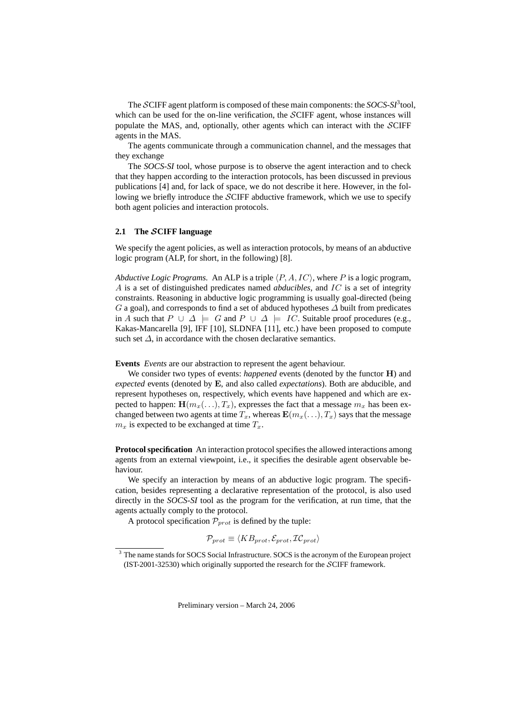The  $\mathcal{S}$ CIFF agent platform is composed of these main components: the  $\mathcal{S}OCS$ - $\mathcal{S}I^3$ tool, which can be used for the on-line verification, the SCIFF agent, whose instances will populate the MAS, and, optionally, other agents which can interact with the SCIFF agents in the MAS.

The agents communicate through a communication channel, and the messages that they exchange

The *SOCS-SI* tool, whose purpose is to observe the agent interaction and to check that they happen according to the interaction protocols, has been discussed in previous publications [4] and, for lack of space, we do not describe it here. However, in the following we briefly introduce the SCIFF abductive framework, which we use to specify both agent policies and interaction protocols.

#### **2.1 The** S**CIFF language**

We specify the agent policies, as well as interaction protocols, by means of an abductive logic program (ALP, for short, in the following) [8].

*Abductive Logic Programs.* An ALP is a triple  $\langle P, A, IC \rangle$ , where P is a logic program, A is a set of distinguished predicates named *abducibles*, and IC is a set of integrity constraints. Reasoning in abductive logic programming is usually goal-directed (being G a goal), and corresponds to find a set of abduced hypotheses  $\Delta$  built from predicates in A such that  $P \cup \Delta \models G$  and  $P \cup \Delta \models IC$ . Suitable proof procedures (e.g., Kakas-Mancarella [9], IFF [10], SLDNFA [11], etc.) have been proposed to compute such set  $\Delta$ , in accordance with the chosen declarative semantics.

**Events** *Events* are our abstraction to represent the agent behaviour.

We consider two types of events: *happened* events (denoted by the functor H) and *expected* events (denoted by E, and also called *expectations*). Both are abducible, and represent hypotheses on, respectively, which events have happened and which are expected to happen:  $\mathbf{H}(m_x(\ldots), T_x)$ , expresses the fact that a message  $m_x$  has been exchanged between two agents at time  $T_x$ , whereas  $\mathbf{E}(m_x(\ldots), T_x)$  says that the message  $m_x$  is expected to be exchanged at time  $T_x$ .

**Protocol specification** An interaction protocol specifies the allowed interactions among agents from an external viewpoint, i.e., it specifies the desirable agent observable behaviour.

We specify an interaction by means of an abductive logic program. The specification, besides representing a declarative representation of the protocol, is also used directly in the *SOCS-SI* tool as the program for the verification, at run time, that the agents actually comply to the protocol.

A protocol specification  $\mathcal{P}_{prot}$  is defined by the tuple:

$$
\mathcal{P}_{prot} \equiv \langle KB_{prot}, \mathcal{E}_{prot}, \mathcal{IC}_{prot} \rangle
$$

<sup>&</sup>lt;sup>3</sup> The name stands for SOCS Social Infrastructure. SOCS is the acronym of the European project (IST-2001-32530) which originally supported the research for the SCIFF framework.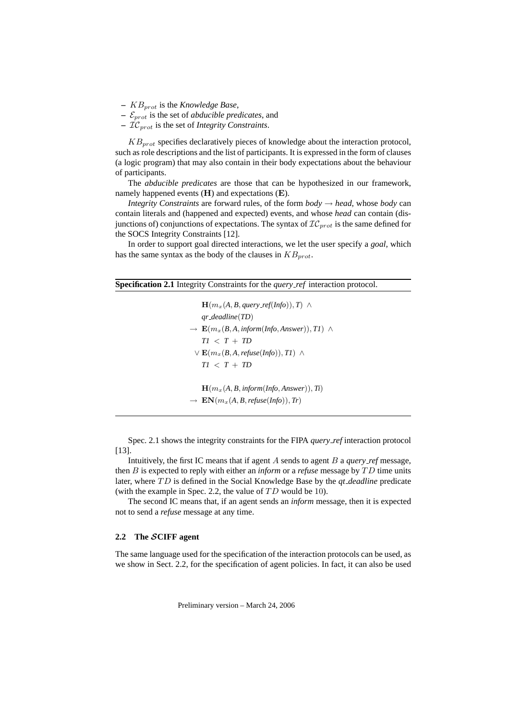- **–** KBprot is the *Knowledge Base*,
- $\epsilon_{prot}$  is the set of *abducible predicates*, and
- **–** ICprot is the set of *Integrity Constraints*.

 $KB_{prot}$  specifies declaratively pieces of knowledge about the interaction protocol, such as role descriptions and the list of participants. It is expressed in the form of clauses (a logic program) that may also contain in their body expectations about the behaviour of participants.

The *abducible predicates* are those that can be hypothesized in our framework, namely happened events  $(H)$  and expectations  $(E)$ .

*Integrity Constraints* are forward rules, of the form  $body \rightarrow head$ , whose *body* can contain literals and (happened and expected) events, and whose *head* can contain (disjunctions of) conjunctions of expectations. The syntax of  $\mathcal{IC}_{prot}$  is the same defined for the SOCS Integrity Constraints [12].

In order to support goal directed interactions, we let the user specify a *goal*, which has the same syntax as the body of the clauses in  $KB_{prot}$ .

| <b>Specification 2.1</b> Integrity Constraints for the <i>query_ref</i> interaction protocol. |        |                                                  |  |
|-----------------------------------------------------------------------------------------------|--------|--------------------------------------------------|--|
|                                                                                               | $\sim$ | $\sim$ $\sim$ $\sim$ $\sim$ $\sim$ $\sim$ $\sim$ |  |

 $\mathbf{H}(m_x(A, B, query\_ref(Info)), T) \wedge$ *qr deadline*(*TD*)  $\rightarrow \mathbf{E}(m_x(B, A, \text{inform}(Info, Answer)), TI) \wedge$  $TI < T + TD$  $∨$  **E**( $m_x(B, A,$ *refuse*(*Info*)), *T1*) ∧  $TI < T + TD$  $H(m_x(A, B, \text{inform}(Info, Answer)), Ti)$  $\rightarrow$  **EN**( $m_x(A, B,$  *refuse*(*Info*)), *Tr*)

Spec. 2.1 shows the integrity constraints for the FIPA *query ref* interaction protocol [13].

Intuitively, the first IC means that if agent A sends to agent B a *query ref* message, then B is expected to reply with either an *inform* or a *refuse* message by TD time units later, where TD is defined in the Social Knowledge Base by the *qt\_deadline* predicate (with the example in Spec. 2.2, the value of  $TD$  would be 10).

The second IC means that, if an agent sends an *inform* message, then it is expected not to send a *refuse* message at any time.

### **2.2 The** S**CIFF agent**

The same language used for the specification of the interaction protocols can be used, as we show in Sect. 2.2, for the specification of agent policies. In fact, it can also be used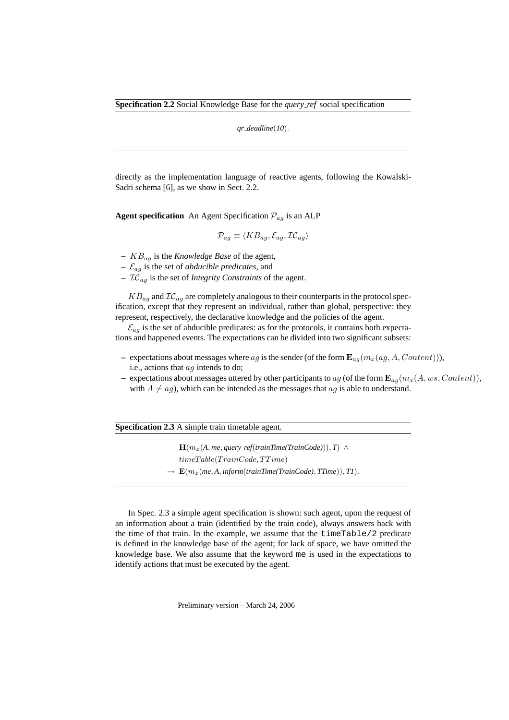*qr deadline*(*10*).

directly as the implementation language of reactive agents, following the Kowalski-Sadri schema [6], as we show in Sect. 2.2.

**Agent specification** An Agent Specification  $\mathcal{P}_{ag}$  is an ALP

$$
\mathcal{P}_{ag} \equiv \langle KB_{ag}, \mathcal{E}_{ag}, \mathcal{IC}_{ag} \rangle
$$

- **–** KBag is the *Knowledge Base* of the agent,
- **–** Eag is the set of *abducible predicates*, and
- **–** ICag is the set of *Integrity Constraints* of the agent.

 $KB_{ag}$  and  $IC_{ag}$  are completely analogous to their counterparts in the protocol specification, except that they represent an individual, rather than global, perspective: they represent, respectively, the declarative knowledge and the policies of the agent.

 $\mathcal{E}_{aq}$  is the set of abducible predicates: as for the protocols, it contains both expectations and happened events. The expectations can be divided into two significant subsets:

- expectations about messages where ag is the sender (of the form  $\mathbf{E}_{ag}(m_x(ag, A, Content))),$ i.e., actions that ag intends to do;
- expectations about messages uttered by other participants to ag (of the form  $\mathbf{E}_{aq}(m_x(A, ws, Content)),$ with  $A \neq aq$ , which can be intended as the messages that  $aq$  is able to understand.

**Specification 2.3** A simple train timetable agent.

 $\mathbf{H}(m_x(A, me, query\_ref(trainTime(TrainCode))), T) \wedge$  $timeTable(TrainCode,TTime)$  $\rightarrow \mathbf{E}(m_x(me, A, \text{inform}(\text{trainTime}(\text{TrainCode}), \text{Time})), \text{TI}).$ 

In Spec. 2.3 a simple agent specification is shown: such agent, upon the request of an information about a train (identified by the train code), always answers back with the time of that train. In the example, we assume that the  $\tt timeTable/2$  predicate is defined in the knowledge base of the agent; for lack of space, we have omitted the knowledge base. We also assume that the keyword me is used in the expectations to identify actions that must be executed by the agent.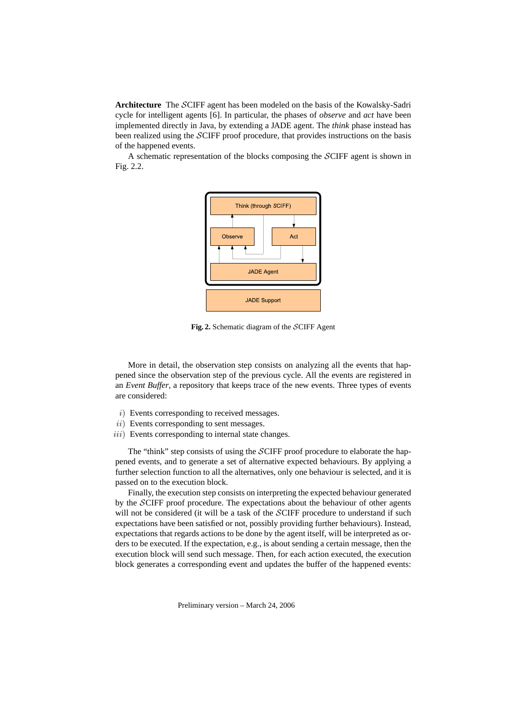**Architecture** The SCIFF agent has been modeled on the basis of the Kowalsky-Sadri cycle for intelligent agents [6]. In particular, the phases of *observe* and *act* have been implemented directly in Java, by extending a JADE agent. The *think* phase instead has been realized using the SCIFF proof procedure, that provides instructions on the basis of the happened events.

A schematic representation of the blocks composing the SCIFF agent is shown in Fig. 2.2.



**Fig. 2.** Schematic diagram of the SCIFF Agent

More in detail, the observation step consists on analyzing all the events that happened since the observation step of the previous cycle. All the events are registered in an *Event Buffer*, a repository that keeps trace of the new events. Three types of events are considered:

- i) Events corresponding to received messages.
- ii) Events corresponding to sent messages.
- $iii)$  Events corresponding to internal state changes.

The "think" step consists of using the SCIFF proof procedure to elaborate the happened events, and to generate a set of alternative expected behaviours. By applying a further selection function to all the alternatives, only one behaviour is selected, and it is passed on to the execution block.

Finally, the execution step consists on interpreting the expected behaviour generated by the SCIFF proof procedure. The expectations about the behaviour of other agents will not be considered (it will be a task of the SCIFF procedure to understand if such expectations have been satisfied or not, possibly providing further behaviours). Instead, expectations that regards actions to be done by the agent itself, will be interpreted as orders to be executed. If the expectation, e.g., is about sending a certain message, then the execution block will send such message. Then, for each action executed, the execution block generates a corresponding event and updates the buffer of the happened events: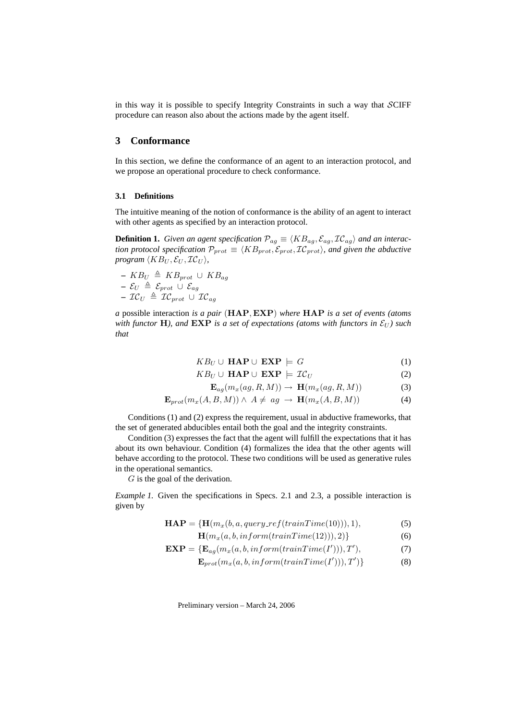in this way it is possible to specify Integrity Constraints in such a way that  $\mathcal{SCIFF}$ procedure can reason also about the actions made by the agent itself.

## **3 Conformance**

In this section, we define the conformance of an agent to an interaction protocol, and we propose an operational procedure to check conformance.

#### **3.1 Definitions**

The intuitive meaning of the notion of conformance is the ability of an agent to interact with other agents as specified by an interaction protocol.

**Definition 1.** *Given an agent specification*  $\mathcal{P}_{aq} \equiv \langle KB_{aq}, \mathcal{E}_{aq}, \mathcal{IC}_{aq} \rangle$  *and an interaction protocol specification*  $\mathcal{P}_{prot} \equiv \langle KB_{prot}, \mathcal{E}_{prot} \rangle$ , and given the abductive *program*  $\langle KB_U, \mathcal{E}_U, \mathcal{IC}_U \rangle$ ,

 $-$  KB<sub>U</sub>  $\triangleq$  KB<sub>prot</sub> ∪ KB<sub>aq</sub>  $\mathcal{L} = \mathcal{E}_U \ \triangleq \ \mathcal{E}_{prot} \ \cup \ \mathcal{E}_{ag}$  $-$  I ${\cal C}_U \ \triangleq \ {\cal IC}_{prot} \ \cup \ {\cal IC}_{ag}$ 

*a* possible interaction *is a pair* (HAP, EXP) *where* HAP *is a set of events (atoms with functor* **H**), and **EXP** is a set of expectations (atoms with functors in  $\mathcal{E}_U$ ) such *that*

$$
KB_U \cup \textbf{HAP} \cup \textbf{EXP} \models G \tag{1}
$$

$$
KB_U \cup \textbf{HAP} \cup \textbf{EXP} \models \mathcal{IC}_U \tag{2}
$$

$$
\mathbf{E}_{ag}(m_x(ag, R, M)) \to \mathbf{H}(m_x(ag, R, M)) \tag{3}
$$

$$
\mathbf{E}_{prot}(m_x(A, B, M)) \wedge A \neq ag \rightarrow \mathbf{H}(m_x(A, B, M))
$$
 (4)

Conditions (1) and (2) express the requirement, usual in abductive frameworks, that the set of generated abducibles entail both the goal and the integrity constraints.

Condition (3) expresses the fact that the agent will fulfill the expectations that it has about its own behaviour. Condition (4) formalizes the idea that the other agents will behave according to the protocol. These two conditions will be used as generative rules in the operational semantics.

G is the goal of the derivation.

*Example 1.* Given the specifications in Specs. 2.1 and 2.3, a possible interaction is given by

$$
\mathbf{HAP} = \{ \mathbf{H}(m_x(b, a, query\_ref(trainTime(10))), 1), \tag{5}
$$

$$
\mathbf{H}(m_x(a, b, \text{inform}(\text{trainTime}(12))), 2)\}
$$
 (6)

$$
\mathbf{EXP} = \{ \mathbf{E}_{ag}(m_x(a, b, \text{inform}(\text{trainTime}(I'))), T'), \tag{7} \}
$$

$$
\mathbf{E}_{prot}(m_x(a, b, inform(trainTime(I'))), T')\}
$$
 (8)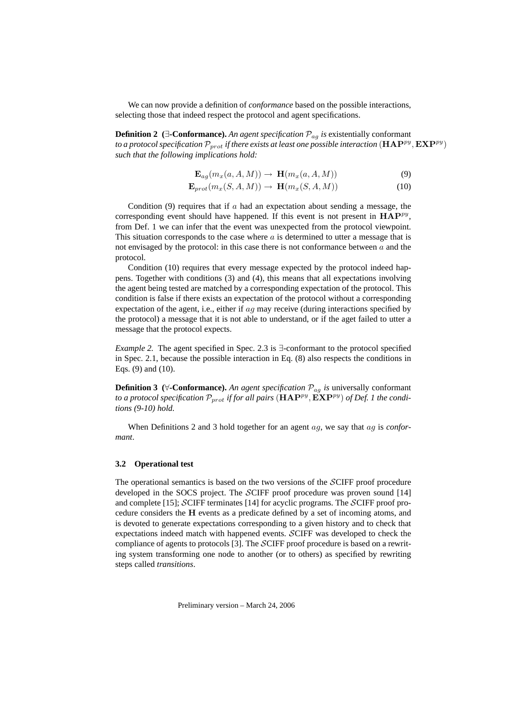We can now provide a definition of *conformance* based on the possible interactions, selecting those that indeed respect the protocol and agent specifications.

**Definition 2**  $\left(\exists\text{-Conformance}\right)$ . *An agent specification*  $\mathcal{P}_{ag}$  *is* existentially conformant to a protocol specification  $\mathcal{P}_{prot}$  if there exists at least one possible interaction  $(\mathbf{HAP}^{py}, \mathbf{EXP}^{py})$ *such that the following implications hold:*

$$
\mathbf{E}_{ag}(m_x(a, A, M)) \to \mathbf{H}(m_x(a, A, M)) \tag{9}
$$

$$
\mathbf{E}_{prot}(m_x(S, A, M)) \to \mathbf{H}(m_x(S, A, M)) \tag{10}
$$

Condition (9) requires that if  $\alpha$  had an expectation about sending a message, the corresponding event should have happened. If this event is not present in  $HAP^{py}$ , from Def. 1 we can infer that the event was unexpected from the protocol viewpoint. This situation corresponds to the case where  $a$  is determined to utter a message that is not envisaged by the protocol: in this case there is not conformance between  $a$  and the protocol.

Condition (10) requires that every message expected by the protocol indeed happens. Together with conditions (3) and (4), this means that all expectations involving the agent being tested are matched by a corresponding expectation of the protocol. This condition is false if there exists an expectation of the protocol without a corresponding expectation of the agent, i.e., either if  $ag$  may receive (during interactions specified by the protocol) a message that it is not able to understand, or if the aget failed to utter a message that the protocol expects.

*Example 2.* The agent specified in Spec. 2.3 is ∃-conformant to the protocol specified in Spec. 2.1, because the possible interaction in Eq. (8) also respects the conditions in Eqs. (9) and (10).

**Definition 3** ( $\forall$ -**Conformance**). An agent specification  $\mathcal{P}_{aq}$  is universally conformant to a protocol specification  $\mathcal{P}_{prot}$  if for all pairs  $(\mathbf{HAP}^{py}, \mathbf{\tilde{EXP}}^{py})$  of Def. 1 the condi*tions (9-10) hold.*

When Definitions 2 and 3 hold together for an agent ag, we say that ag is *conformant*.

### **3.2 Operational test**

The operational semantics is based on the two versions of the SCIFF proof procedure developed in the SOCS project. The SCIFF proof procedure was proven sound [14] and complete [15]; SCIFF terminates [14] for acyclic programs. The SCIFF proof procedure considers the H events as a predicate defined by a set of incoming atoms, and is devoted to generate expectations corresponding to a given history and to check that expectations indeed match with happened events. SCIFF was developed to check the compliance of agents to protocols [3]. The SCIFF proof procedure is based on a rewriting system transforming one node to another (or to others) as specified by rewriting steps called *transitions*.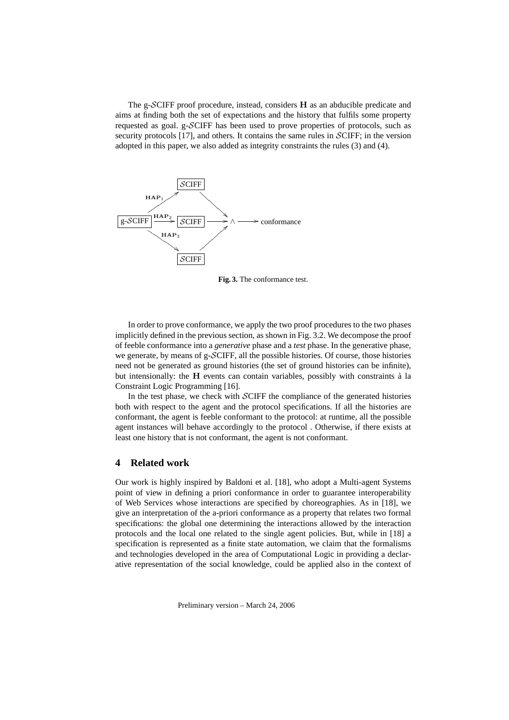The g-SCIFF proof procedure, instead, considers H as an abducible predicate and aims at finding both the set of expectations and the history that fulfils some property requested as goal. g-SCIFF has been used to prove properties of protocols, such as security protocols [17], and others. It contains the same rules in SCIFF; in the version adopted in this paper, we also added as integrity constraints the rules (3) and (4).



**Fig. 3.** The conformance test.

In order to prove conformance, we apply the two proof procedures to the two phases implicitly defined in the previous section, as shown in Fig. 3.2. We decompose the proof of feeble conformance into a *generative* phase and a *test* phase. In the generative phase, we generate, by means of g-SCIFF, all the possible histories. Of course, those histories need not be generated as ground histories (the set of ground histories can be infinite), but intensionally: the  $H$  events can contain variables, possibly with constraints  $\hat{a}$  la Constraint Logic Programming [16].

In the test phase, we check with SCIFF the compliance of the generated histories both with respect to the agent and the protocol specifications. If all the histories are conformant, the agent is feeble conformant to the protocol: at runtime, all the possible agent instances will behave accordingly to the protocol . Otherwise, if there exists at least one history that is not conformant, the agent is not conformant.

## **4 Related work**

Our work is highly inspired by Baldoni et al. [18], who adopt a Multi-agent Systems point of view in defining a priori conformance in order to guarantee interoperability of Web Services whose interactions are specified by choreographies. As in [18], we give an interpretation of the a-priori conformance as a property that relates two formal specifications: the global one determining the interactions allowed by the interaction protocols and the local one related to the single agent policies. But, while in [18] a specification is represented as a finite state automation, we claim that the formalisms and technologies developed in the area of Computational Logic in providing a declarative representation of the social knowledge, could be applied also in the context of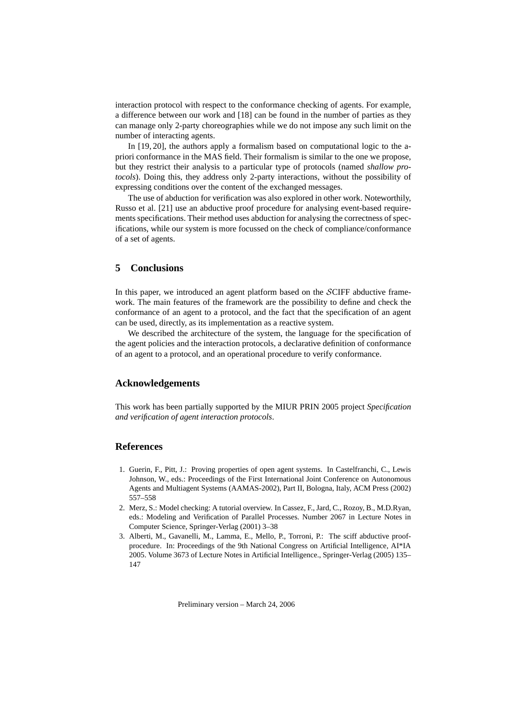interaction protocol with respect to the conformance checking of agents. For example, a difference between our work and [18] can be found in the number of parties as they can manage only 2-party choreographies while we do not impose any such limit on the number of interacting agents.

In [19, 20], the authors apply a formalism based on computational logic to the apriori conformance in the MAS field. Their formalism is similar to the one we propose, but they restrict their analysis to a particular type of protocols (named *shallow protocols*). Doing this, they address only 2-party interactions, without the possibility of expressing conditions over the content of the exchanged messages.

The use of abduction for verification was also explored in other work. Noteworthily, Russo et al. [21] use an abductive proof procedure for analysing event-based requirements specifications. Their method uses abduction for analysing the correctness of specifications, while our system is more focussed on the check of compliance/conformance of a set of agents.

## **5 Conclusions**

In this paper, we introduced an agent platform based on the SCIFF abductive framework. The main features of the framework are the possibility to define and check the conformance of an agent to a protocol, and the fact that the specification of an agent can be used, directly, as its implementation as a reactive system.

We described the architecture of the system, the language for the specification of the agent policies and the interaction protocols, a declarative definition of conformance of an agent to a protocol, and an operational procedure to verify conformance.

## **Acknowledgements**

This work has been partially supported by the MIUR PRIN 2005 project *Specification and verification of agent interaction protocols*.

## **References**

- 1. Guerin, F., Pitt, J.: Proving properties of open agent systems. In Castelfranchi, C., Lewis Johnson, W., eds.: Proceedings of the First International Joint Conference on Autonomous Agents and Multiagent Systems (AAMAS-2002), Part II, Bologna, Italy, ACM Press (2002) 557–558
- 2. Merz, S.: Model checking: A tutorial overview. In Cassez, F., Jard, C., Rozoy, B., M.D.Ryan, eds.: Modeling and Verification of Parallel Processes. Number 2067 in Lecture Notes in Computer Science, Springer-Verlag (2001) 3–38
- 3. Alberti, M., Gavanelli, M., Lamma, E., Mello, P., Torroni, P.: The sciff abductive proofprocedure. In: Proceedings of the 9th National Congress on Artificial Intelligence, AI\*IA 2005. Volume 3673 of Lecture Notes in Artificial Intelligence., Springer-Verlag (2005) 135– 147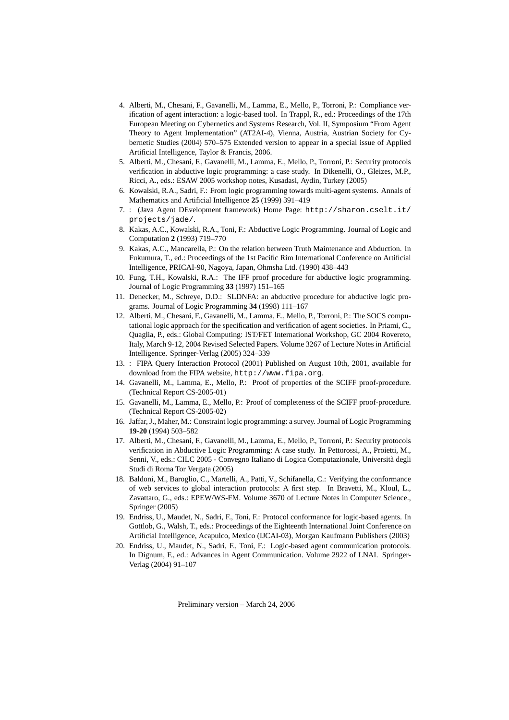- 4. Alberti, M., Chesani, F., Gavanelli, M., Lamma, E., Mello, P., Torroni, P.: Compliance verification of agent interaction: a logic-based tool. In Trappl, R., ed.: Proceedings of the 17th European Meeting on Cybernetics and Systems Research, Vol. II, Symposium "From Agent Theory to Agent Implementation" (AT2AI-4), Vienna, Austria, Austrian Society for Cybernetic Studies (2004) 570–575 Extended version to appear in a special issue of Applied Artificial Intelligence, Taylor & Francis, 2006.
- 5. Alberti, M., Chesani, F., Gavanelli, M., Lamma, E., Mello, P., Torroni, P.: Security protocols verification in abductive logic programming: a case study. In Dikenelli, O., Gleizes, M.P., Ricci, A., eds.: ESAW 2005 workshop notes, Kusadasi, Aydin, Turkey (2005)
- 6. Kowalski, R.A., Sadri, F.: From logic programming towards multi-agent systems. Annals of Mathematics and Artificial Intelligence **25** (1999) 391–419
- 7. : (Java Agent DEvelopment framework) Home Page: http://sharon.cselt.it/ projects/jade/.
- 8. Kakas, A.C., Kowalski, R.A., Toni, F.: Abductive Logic Programming. Journal of Logic and Computation **2** (1993) 719–770
- 9. Kakas, A.C., Mancarella, P.: On the relation between Truth Maintenance and Abduction. In Fukumura, T., ed.: Proceedings of the 1st Pacific Rim International Conference on Artificial Intelligence, PRICAI-90, Nagoya, Japan, Ohmsha Ltd. (1990) 438–443
- 10. Fung, T.H., Kowalski, R.A.: The IFF proof procedure for abductive logic programming. Journal of Logic Programming **33** (1997) 151–165
- 11. Denecker, M., Schreye, D.D.: SLDNFA: an abductive procedure for abductive logic programs. Journal of Logic Programming **34** (1998) 111–167
- 12. Alberti, M., Chesani, F., Gavanelli, M., Lamma, E., Mello, P., Torroni, P.: The SOCS computational logic approach for the specification and verification of agent societies. In Priami, C., Quaglia, P., eds.: Global Computing: IST/FET International Workshop, GC 2004 Rovereto, Italy, March 9-12, 2004 Revised Selected Papers. Volume 3267 of Lecture Notes in Artificial Intelligence. Springer-Verlag (2005) 324–339
- 13. : FIPA Query Interaction Protocol (2001) Published on August 10th, 2001, available for download from the FIPA website, http://www.fipa.org.
- 14. Gavanelli, M., Lamma, E., Mello, P.: Proof of properties of the SCIFF proof-procedure. (Technical Report CS-2005-01)
- 15. Gavanelli, M., Lamma, E., Mello, P.: Proof of completeness of the SCIFF proof-procedure. (Technical Report CS-2005-02)
- 16. Jaffar, J., Maher, M.: Constraint logic programming: a survey. Journal of Logic Programming **19-20** (1994) 503–582
- 17. Alberti, M., Chesani, F., Gavanelli, M., Lamma, E., Mello, P., Torroni, P.: Security protocols verification in Abductive Logic Programming: A case study. In Pettorossi, A., Proietti, M., Senni, V., eds.: CILC 2005 - Convegno Italiano di Logica Computazionale, Universita degli ` Studi di Roma Tor Vergata (2005)
- 18. Baldoni, M., Baroglio, C., Martelli, A., Patti, V., Schifanella, C.: Verifying the conformance of web services to global interaction protocols: A first step. In Bravetti, M., Kloul, L., Zavattaro, G., eds.: EPEW/WS-FM. Volume 3670 of Lecture Notes in Computer Science., Springer (2005)
- 19. Endriss, U., Maudet, N., Sadri, F., Toni, F.: Protocol conformance for logic-based agents. In Gottlob, G., Walsh, T., eds.: Proceedings of the Eighteenth International Joint Conference on Artificial Intelligence, Acapulco, Mexico (IJCAI-03), Morgan Kaufmann Publishers (2003)
- 20. Endriss, U., Maudet, N., Sadri, F., Toni, F.: Logic-based agent communication protocols. In Dignum, F., ed.: Advances in Agent Communication. Volume 2922 of LNAI. Springer-Verlag (2004) 91–107